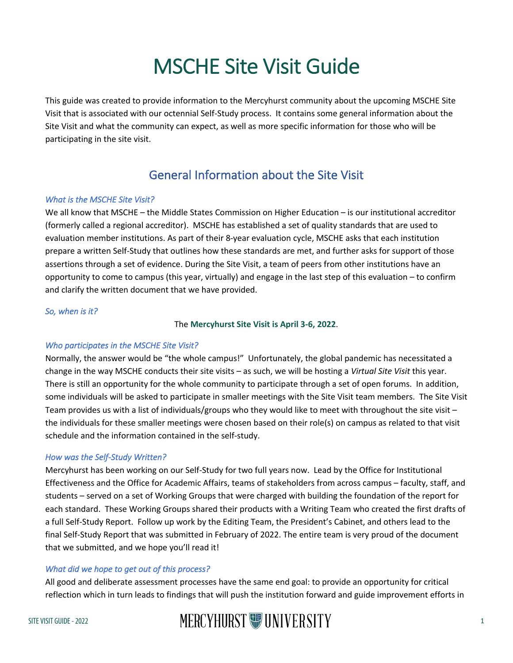# MSCHE Site Visit Guide

 This guide was created to provide information to the Mercyhurst community about the upcoming MSCHE Site Visit that is associated with our octennial Self-Study process. It contains some general information about the Site Visit and what the community can expect, as well as more specific information for those who will be participating in the site visit.

# General Information about the Site Visit

### *What is the MSCHE Site Visit?*

 We all know that MSCHE – the Middle States Commission on Higher Education – is our institutional accreditor evaluation member institutions. As part of their 8-year evaluation cycle, MSCHE asks that each institution prepare a written Self-Study that outlines how these standards are met, and further asks for support of those assertions through a set of evidence. During the Site Visit, a team of peers from other institutions have an opportunity to come to campus (this year, virtually) and engage in the last step of this evaluation – to confirm and clarify the written document that we have provided. (formerly called a regional accreditor). MSCHE has established a set of quality standards that are used to

#### *So, when is it?*

# The **Mercyhurst Site Visit is April 3-6, 2022**.

# *Who participates in the MSCHE Site Visit?*

 Normally, the answer would be "the whole campus!" Unfortunately, the global pandemic has necessitated a change in the way MSCHE conducts their site visits – as such, we will be hosting a *Virtual Site Visit* this year. There is still an opportunity for the whole community to participate through a set of open forums. In addition, some individuals will be asked to participate in smaller meetings with the Site Visit team members. The Site Visit Team provides us with a list of individuals/groups who they would like to meet with throughout the site visit – schedule and the information contained in the self-study. the individuals for these smaller meetings were chosen based on their role(s) on campus as related to that visit

# *How was the Self-Study Written?*

 Mercyhurst has been working on our Self-Study for two full years now. Lead by the Office for Institutional Effectiveness and the Office for Academic Affairs, teams of stakeholders from across campus – faculty, staff, and students – served on a set of Working Groups that were charged with building the foundation of the report for each standard. These Working Groups shared their products with a Writing Team who created the first drafts of a full Self-Study Report. Follow up work by the Editing Team, the President's Cabinet, and others lead to the that we submitted, and we hope you'll read it! final Self-Study Report that was submitted in February of 2022. The entire team is very proud of the document

# *What did we hope to get out of this process?*

 All good and deliberate assessment processes have the same end goal: to provide an opportunity for critical reflection which in turn leads to findings that will push the institution forward and guide improvement efforts in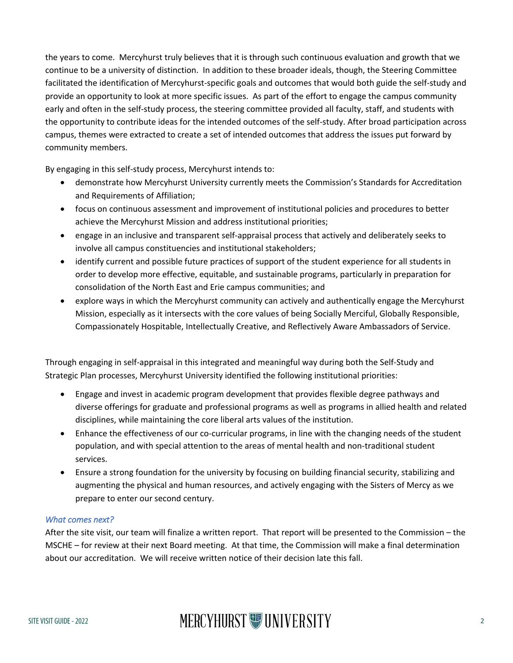the years to come. Mercyhurst truly believes that it is through such continuous evaluation and growth that we continue to be a university of distinction. In addition to these broader ideals, though, the Steering Committee facilitated the identification of Mercyhurst-specific goals and outcomes that would both guide the self-study and provide an opportunity to look at more specific issues. As part of the effort to engage the campus community early and often in the self-study process, the steering committee provided all faculty, staff, and students with the opportunity to contribute ideas for the intended outcomes of the self-study. After broad participation across campus, themes were extracted to create a set of intended outcomes that address the issues put forward by community members.

By engaging in this self-study process, Mercyhurst intends to:

- • demonstrate how Mercyhurst University currently meets the Commission's Standards for Accreditation and Requirements of Affiliation;
- • focus on continuous assessment and improvement of institutional policies and procedures to better achieve the Mercyhurst Mission and address institutional priorities;
- • engage in an inclusive and transparent self-appraisal process that actively and deliberately seeks to involve all campus constituencies and institutional stakeholders;
- consolidation of the North East and Erie campus communities; and • identify current and possible future practices of support of the student experience for all students in order to develop more effective, equitable, and sustainable programs, particularly in preparation for
- • explore ways in which the Mercyhurst community can actively and authentically engage the Mercyhurst Mission, especially as it intersects with the core values of being Socially Merciful, Globally Responsible, Compassionately Hospitable, Intellectually Creative, and Reflectively Aware Ambassadors of Service.

 Strategic Plan processes, Mercyhurst University identified the following institutional priorities: Through engaging in self-appraisal in this integrated and meaningful way during both the Self-Study and

- • Engage and invest in academic program development that provides flexible degree pathways and disciplines, while maintaining the core liberal arts values of the institution. diverse offerings for graduate and professional programs as well as programs in allied health and related
- • Enhance the effectiveness of our co-curricular programs, in line with the changing needs of the student population, and with special attention to the areas of mental health and non-traditional student services.
- • Ensure a strong foundation for the university by focusing on building financial security, stabilizing and augmenting the physical and human resources, and actively engaging with the Sisters of Mercy as we prepare to enter our second century.

#### *What comes next?*

 After the site visit, our team will finalize a written report. That report will be presented to the Commission – the about our accreditation. We will receive written notice of their decision late this fall. MSCHE – for review at their next Board meeting. At that time, the Commission will make a final determination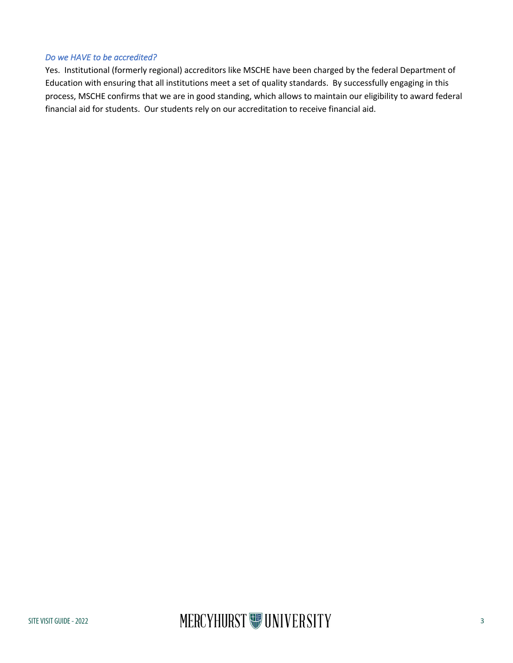#### *Do we HAVE to be accredited?*

 Yes. Institutional (formerly regional) accreditors like MSCHE have been charged by the federal Department of Education with ensuring that all institutions meet a set of quality standards. By successfully engaging in this process, MSCHE confirms that we are in good standing, which allows to maintain our eligibility to award federal financial aid for students. Our students rely on our accreditation to receive financial aid.

# SITE VISIT GUIDE - 2022 **SITE VISIT GUIDE - 2022**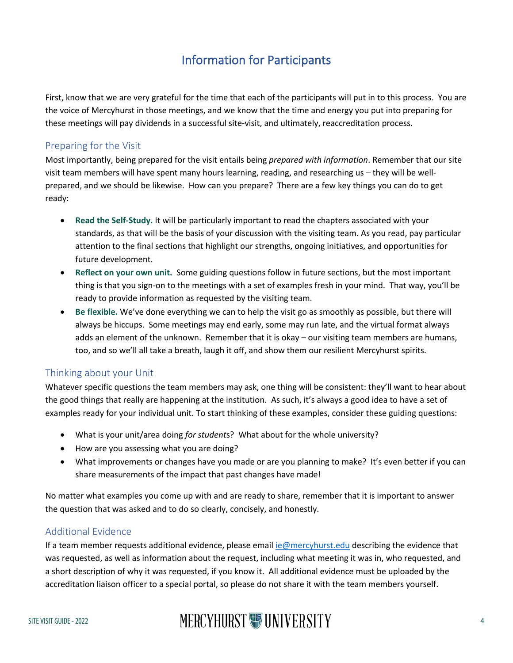# Information for Participants

 First, know that we are very grateful for the time that each of the participants will put in to this process. You are the voice of Mercyhurst in those meetings, and we know that the time and energy you put into preparing for these meetings will pay dividends in a successful site-visit, and ultimately, reaccreditation process.

# Preparing for the Visit

 Most importantly, being prepared for the visit entails being *prepared with information*. Remember that our site visit team members will have spent many hours learning, reading, and researching us – they will be well- prepared, and we should be likewise. How can you prepare? There are a few key things you can do to get ready:

- standards, as that will be the basis of your discussion with the visiting team. As you read, pay particular attention to the final sections that highlight our strengths, ongoing initiatives, and opportunities for • **Read the Self-Study.** It will be particularly important to read the chapters associated with your future development.
- **Reflect on your own unit.** Some guiding questions follow in future sections, but the most important thing is that you sign-on to the meetings with a set of examples fresh in your mind. That way, you'll be ready to provide information as requested by the visiting team.
- • **Be flexible.** We've done everything we can to help the visit go as smoothly as possible, but there will always be hiccups. Some meetings may end early, some may run late, and the virtual format always adds an element of the unknown. Remember that it is okay – our visiting team members are humans, too, and so we'll all take a breath, laugh it off, and show them our resilient Mercyhurst spirits.

# Thinking about your Unit

 Whatever specific questions the team members may ask, one thing will be consistent: they'll want to hear about the good things that really are happening at the institution. As such, it's always a good idea to have a set of examples ready for your individual unit. To start thinking of these examples, consider these guiding questions:

- What is your unit/area doing *for student*s? What about for the whole university?
- How are you assessing what you are doing?
- • What improvements or changes have you made or are you planning to make? It's even better if you can share measurements of the impact that past changes have made!

 No matter what examples you come up with and are ready to share, remember that it is important to answer the question that was asked and to do so clearly, concisely, and honestly.

# Additional Evidence

If a team member requests additional evidence, please email **ie@mercyhurst.edu** describing the evidence that was requested, as well as information about the request, including what meeting it was in, who requested, and a short description of why it was requested, if you know it. All additional evidence must be uploaded by the accreditation liaison officer to a special portal, so please do not share it with the team members yourself.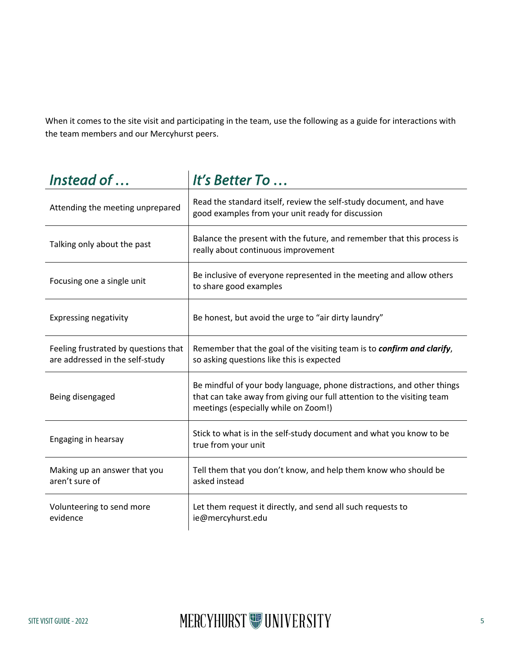When it comes to the site visit and participating in the team, use the following as a guide for interactions with the team members and our Mercyhurst peers.

| Instead of                                                              | It's Better To                                                                                                                                                                           |
|-------------------------------------------------------------------------|------------------------------------------------------------------------------------------------------------------------------------------------------------------------------------------|
| Attending the meeting unprepared                                        | Read the standard itself, review the self-study document, and have<br>good examples from your unit ready for discussion                                                                  |
| Talking only about the past                                             | Balance the present with the future, and remember that this process is<br>really about continuous improvement                                                                            |
| Focusing one a single unit                                              | Be inclusive of everyone represented in the meeting and allow others<br>to share good examples                                                                                           |
| <b>Expressing negativity</b>                                            | Be honest, but avoid the urge to "air dirty laundry"                                                                                                                                     |
| Feeling frustrated by questions that<br>are addressed in the self-study | Remember that the goal of the visiting team is to confirm and clarify,<br>so asking questions like this is expected                                                                      |
| Being disengaged                                                        | Be mindful of your body language, phone distractions, and other things<br>that can take away from giving our full attention to the visiting team<br>meetings (especially while on Zoom!) |
| Engaging in hearsay                                                     | Stick to what is in the self-study document and what you know to be<br>true from your unit                                                                                               |
| Making up an answer that you<br>aren't sure of                          | Tell them that you don't know, and help them know who should be<br>asked instead                                                                                                         |
| Volunteering to send more<br>evidence                                   | Let them request it directly, and send all such requests to<br>ie@mercyhurst.edu                                                                                                         |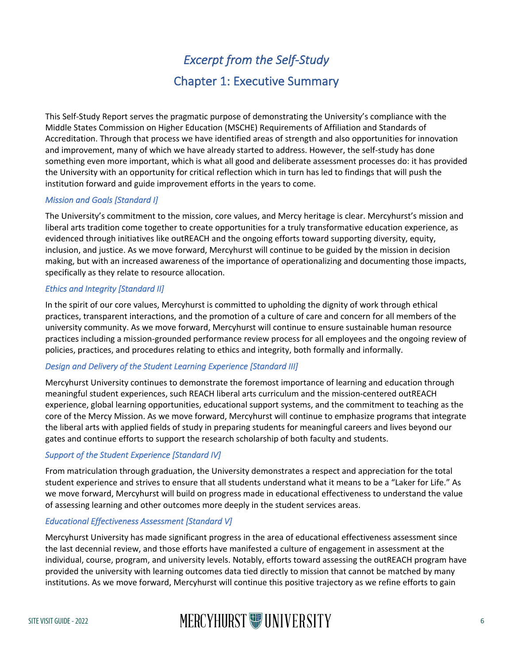# *Excerpt from the Self-Study*  Chapter 1: Executive Summary

 This Self-Study Report serves the pragmatic purpose of demonstrating the University's compliance with the Middle States Commission on Higher Education (MSCHE) Requirements of Affiliation and Standards of Accreditation. Through that process we have identified areas of strength and also opportunities for innovation and improvement, many of which we have already started to address. However, the self-study has done something even more important, which is what all good and deliberate assessment processes do: it has provided the University with an opportunity for critical reflection which in turn has led to findings that will push the institution forward and guide improvement efforts in the years to come.

# *Mission and Goals [Standard I]*

 The University's commitment to the mission, core values, and Mercy heritage is clear. Mercyhurst's mission and evidenced through initiatives like outREACH and the ongoing efforts toward supporting diversity, equity, inclusion, and justice. As we move forward, Mercyhurst will continue to be guided by the mission in decision making, but with an increased awareness of the importance of operationalizing and documenting those impacts, specifically as they relate to resource allocation. liberal arts tradition come together to create opportunities for a truly transformative education experience, as

# *Ethics and Integrity [Standard II]*

 practices, transparent interactions, and the promotion of a culture of care and concern for all members of the university community. As we move forward, Mercyhurst will continue to ensure sustainable human resource practices including a mission-grounded performance review process for all employees and the ongoing review of In the spirit of our core values, Mercyhurst is committed to upholding the dignity of work through ethical policies, practices, and procedures relating to ethics and integrity, both formally and informally.

# *Design and Delivery of the Student Learning Experience [Standard III]*

 Mercyhurst University continues to demonstrate the foremost importance of learning and education through meaningful student experiences, such REACH liberal arts curriculum and the mission-centered outREACH experience, global learning opportunities, educational support systems, and the commitment to teaching as the core of the Mercy Mission. As we move forward, Mercyhurst will continue to emphasize programs that integrate the liberal arts with applied fields of study in preparing students for meaningful careers and lives beyond our gates and continue efforts to support the research scholarship of both faculty and students.

# *Support of the Student Experience [Standard IV]*

 From matriculation through graduation, the University demonstrates a respect and appreciation for the total student experience and strives to ensure that all students understand what it means to be a "Laker for Life." As we move forward, Mercyhurst will build on progress made in educational effectiveness to understand the value of assessing learning and other outcomes more deeply in the student services areas.

# *Educational Effectiveness Assessment [Standard V]*

 Mercyhurst University has made significant progress in the area of educational effectiveness assessment since the last decennial review, and those efforts have manifested a culture of engagement in assessment at the provided the university with learning outcomes data tied directly to mission that cannot be matched by many individual, course, program, and university levels. Notably, efforts toward assessing the outREACH program have institutions. As we move forward, Mercyhurst will continue this positive trajectory as we refine efforts to gain